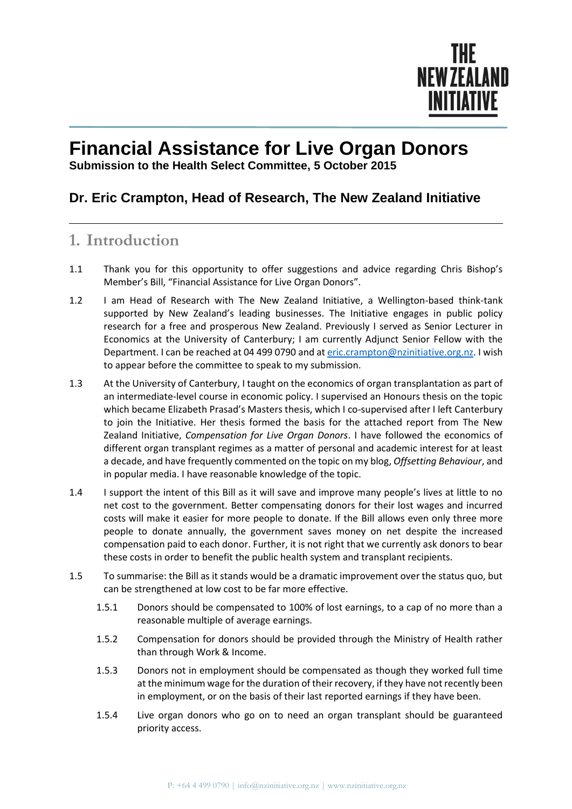

## **Financial Assistance for Live Organ Donors**

**Submission to the Health Select Committee, 5 October 2015**

## **Dr. Eric Crampton, Head of Research, The New Zealand Initiative**

## **1. Introduction**

- 1.1 Thank you for this opportunity to offer suggestions and advice regarding Chris Bishop's Member's Bill, "Financial Assistance for Live Organ Donors".
- 1.2 I am Head of Research with The New Zealand Initiative, a Wellington-based think-tank supported by New Zealand's leading businesses. The Initiative engages in public policy research for a free and prosperous New Zealand. Previously I served as Senior Lecturer in Economics at the University of Canterbury; I am currently Adjunct Senior Fellow with the Department. I can be reached at 04 499 0790 and a[t eric.crampton@nzinitiative.org.nz.](mailto:eric.crampton@nzinitiative.org.nz) I wish to appear before the committee to speak to my submission.
- 1.3 At the University of Canterbury, I taught on the economics of organ transplantation as part of an intermediate-level course in economic policy. I supervised an Honours thesis on the topic which became Elizabeth Prasad's Masters thesis, which I co-supervised after I left Canterbury to join the Initiative. Her thesis formed the basis for the attached report from The New Zealand Initiative, *Compensation for Live Organ Donors*. I have followed the economics of different organ transplant regimes as a matter of personal and academic interest for at least a decade, and have frequently commented on the topic on my blog, *Offsetting Behaviour*, and in popular media. I have reasonable knowledge of the topic.
- 1.4 I support the intent of this Bill as it will save and improve many people's lives at little to no net cost to the government. Better compensating donors for their lost wages and incurred costs will make it easier for more people to donate. If the Bill allows even only three more people to donate annually, the government saves money on net despite the increased compensation paid to each donor. Further, it is not right that we currently ask donors to bear these costs in order to benefit the public health system and transplant recipients.
- 1.5 To summarise: the Bill as it stands would be a dramatic improvement over the status quo, but can be strengthened at low cost to be far more effective.
	- 1.5.1 Donors should be compensated to 100% of lost earnings, to a cap of no more than a reasonable multiple of average earnings.
	- 1.5.2 Compensation for donors should be provided through the Ministry of Health rather than through Work & Income.
	- 1.5.3 Donors not in employment should be compensated as though they worked full time at the minimum wage for the duration of their recovery, if they have not recently been in employment, or on the basis of their last reported earnings if they have been.
	- 1.5.4 Live organ donors who go on to need an organ transplant should be guaranteed priority access.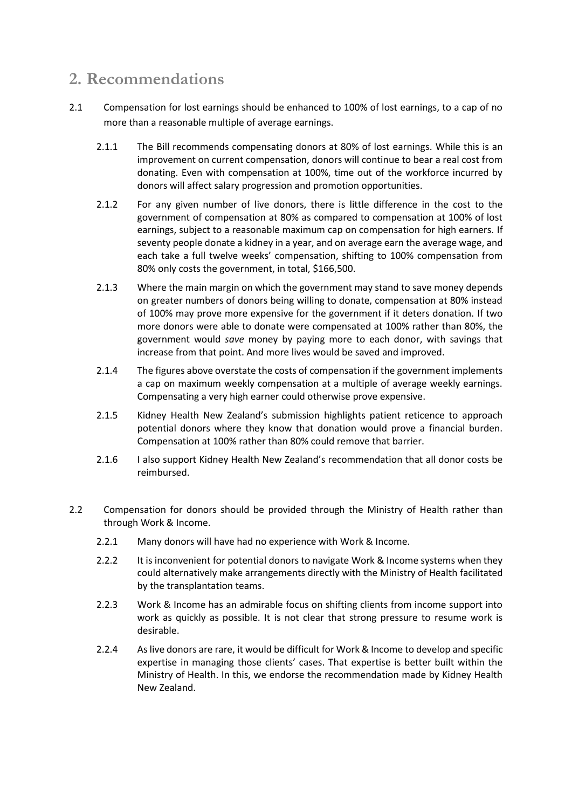## **2. Recommendations**

- 2.1 Compensation for lost earnings should be enhanced to 100% of lost earnings, to a cap of no more than a reasonable multiple of average earnings.
	- 2.1.1 The Bill recommends compensating donors at 80% of lost earnings. While this is an improvement on current compensation, donors will continue to bear a real cost from donating. Even with compensation at 100%, time out of the workforce incurred by donors will affect salary progression and promotion opportunities.
	- 2.1.2 For any given number of live donors, there is little difference in the cost to the government of compensation at 80% as compared to compensation at 100% of lost earnings, subject to a reasonable maximum cap on compensation for high earners. If seventy people donate a kidney in a year, and on average earn the average wage, and each take a full twelve weeks' compensation, shifting to 100% compensation from 80% only costs the government, in total, \$166,500.
	- 2.1.3 Where the main margin on which the government may stand to save money depends on greater numbers of donors being willing to donate, compensation at 80% instead of 100% may prove more expensive for the government if it deters donation. If two more donors were able to donate were compensated at 100% rather than 80%, the government would *save* money by paying more to each donor, with savings that increase from that point. And more lives would be saved and improved.
	- 2.1.4 The figures above overstate the costs of compensation if the government implements a cap on maximum weekly compensation at a multiple of average weekly earnings. Compensating a very high earner could otherwise prove expensive.
	- 2.1.5 Kidney Health New Zealand's submission highlights patient reticence to approach potential donors where they know that donation would prove a financial burden. Compensation at 100% rather than 80% could remove that barrier.
	- 2.1.6 I also support Kidney Health New Zealand's recommendation that all donor costs be reimbursed.
- 2.2 Compensation for donors should be provided through the Ministry of Health rather than through Work & Income.
	- 2.2.1 Many donors will have had no experience with Work & Income.
	- 2.2.2 It is inconvenient for potential donors to navigate Work & Income systems when they could alternatively make arrangements directly with the Ministry of Health facilitated by the transplantation teams.
	- 2.2.3 Work & Income has an admirable focus on shifting clients from income support into work as quickly as possible. It is not clear that strong pressure to resume work is desirable.
	- 2.2.4 As live donors are rare, it would be difficult for Work & Income to develop and specific expertise in managing those clients' cases. That expertise is better built within the Ministry of Health. In this, we endorse the recommendation made by Kidney Health New Zealand.